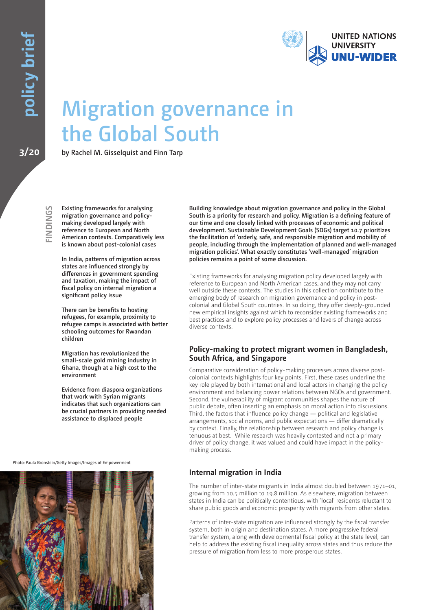

# **Migration governance in the Global South**

**3/20 by Rachel M. Gisselquist and Finn Tarp**

NDINGS **FINDINGS** **Existing frameworks for analysing migration governance and policymaking developed largely with reference to European and North American contexts. Comparatively less is known about post-colonial cases**

**In India, patterns of migration across states are influenced strongly by differences in government spending and taxation, making the impact of fiscal policy on internal migration a significant policy issue**

**There can be benefits to hosting refugees, for example, proximity to refugee camps is associated with better schooling outcomes for Rwandan children**

**Migration has revolutionized the small-scale gold mining industry in Ghana, though at a high cost to the environment**

**Evidence from diaspora organizations that work with Syrian migrants indicates that such organizations can be crucial partners in providing needed assistance to displaced people**

Photo: Paula Bronstein/Getty Images/Images of Empowerment



**Building knowledge about migration governance and policy in the Global South is a priority for research and policy. Migration is a defining feature of our time and one closely linked with processes of economic and political development. Sustainable Development Goals (SDGs) target 10.7 prioritizes the facilitation of 'orderly, safe, and responsible migration and mobility of people, including through the implementation of planned and well-managed migration policies'. What exactly constitutes 'well-managed' migration policies remains a point of some discussion.**

Existing frameworks for analysing migration policy developed largely with reference to European and North American cases, and they may not carry well outside these contexts. The studies in this collection contribute to the emerging body of research on migration governance and policy in postcolonial and Global South countries. In so doing, they offer deeply-grounded new empirical insights against which to reconsider existing frameworks and best practices and to explore policy processes and levers of change across diverse contexts.

#### **Policy-making to protect migrant women in Bangladesh, South Africa, and Singapore**

Comparative consideration of policy-making processes across diverse postcolonial contexts highlights four key points. First, these cases underline the key role played by both international and local actors in changing the policy environment and balancing power relations between NGOs and government. Second, the vulnerability of migrant communities shapes the nature of public debate, often inserting an emphasis on moral action into discussions. Third, the factors that influence policy change — political and legislative arrangements, social norms, and public expectations — differ dramatically by context. Finally, the relationship between research and policy change is tenuous at best. While research was heavily contested and not a primary driver of policy change, it was valued and could have impact in the policymaking process.

#### **Internal migration in India**

The number of inter-state migrants in India almost doubled between 1971–01, growing from 10.5 million to 19.8 million. As elsewhere, migration between states in India can be politically contentious, with 'local' residents reluctant to share public goods and economic prosperity with migrants from other states.

Patterns of inter-state migration are influenced strongly by the fiscal transfer system, both in origin and destination states. A more progressive federal transfer system, along with developmental fiscal policy at the state level, can help to address the existing fiscal inequality across states and thus reduce the pressure of migration from less to more prosperous states.